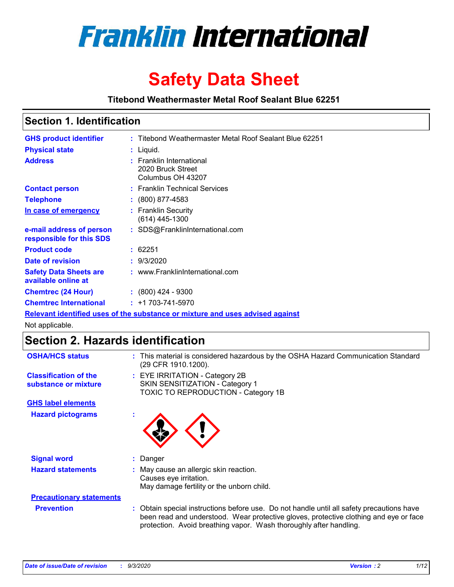

# **Safety Data Sheet**

**Titebond Weathermaster Metal Roof Sealant Blue 62251**

### **Section 1. Identification**

| <b>GHS product identifier</b>                                                 |  | : Titebond Weathermaster Metal Roof Sealant Blue 62251             |  |  |
|-------------------------------------------------------------------------------|--|--------------------------------------------------------------------|--|--|
| <b>Physical state</b>                                                         |  | : Liquid.                                                          |  |  |
| <b>Address</b>                                                                |  | : Franklin International<br>2020 Bruck Street<br>Columbus OH 43207 |  |  |
| <b>Contact person</b>                                                         |  | : Franklin Technical Services                                      |  |  |
| <b>Telephone</b>                                                              |  | $: (800) 877 - 4583$                                               |  |  |
| In case of emergency                                                          |  | : Franklin Security<br>(614) 445-1300                              |  |  |
| e-mail address of person<br>responsible for this SDS                          |  | : SDS@FranklinInternational.com                                    |  |  |
| <b>Product code</b>                                                           |  | : 62251                                                            |  |  |
| Date of revision                                                              |  | : 9/3/2020                                                         |  |  |
| <b>Safety Data Sheets are</b><br>available online at                          |  | : www.FranklinInternational.com                                    |  |  |
| <b>Chemtrec (24 Hour)</b>                                                     |  | $\div$ (800) 424 - 9300                                            |  |  |
| <b>Chemtrec International</b>                                                 |  | $: +1703 - 741 - 5970$                                             |  |  |
| Relevant identified uses of the substance or mixture and uses advised against |  |                                                                    |  |  |

Not applicable.

## **Section 2. Hazards identification**

| <b>OSHA/HCS status</b>                               | : This material is considered hazardous by the OSHA Hazard Communication Standard<br>(29 CFR 1910.1200).                                                                                                                                                 |  |  |
|------------------------------------------------------|----------------------------------------------------------------------------------------------------------------------------------------------------------------------------------------------------------------------------------------------------------|--|--|
| <b>Classification of the</b><br>substance or mixture | : EYE IRRITATION - Category 2B<br>SKIN SENSITIZATION - Category 1<br>TOXIC TO REPRODUCTION - Category 1B                                                                                                                                                 |  |  |
| <b>GHS label elements</b>                            |                                                                                                                                                                                                                                                          |  |  |
| <b>Hazard pictograms</b>                             |                                                                                                                                                                                                                                                          |  |  |
| <b>Signal word</b>                                   | Danger<br>÷.                                                                                                                                                                                                                                             |  |  |
| <b>Hazard statements</b>                             | May cause an allergic skin reaction.<br>Causes eye irritation.<br>May damage fertility or the unborn child.                                                                                                                                              |  |  |
| <b>Precautionary statements</b>                      |                                                                                                                                                                                                                                                          |  |  |
| <b>Prevention</b>                                    | : Obtain special instructions before use. Do not handle until all safety precautions have<br>been read and understood. Wear protective gloves, protective clothing and eye or face<br>protection. Avoid breathing vapor. Wash thoroughly after handling. |  |  |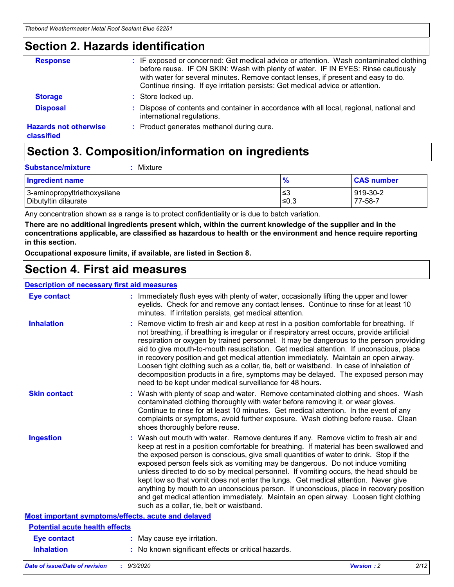### **Section 2. Hazards identification**

| <b>Response</b>                            | : IF exposed or concerned: Get medical advice or attention. Wash contaminated clothing<br>before reuse. IF ON SKIN: Wash with plenty of water. IF IN EYES: Rinse cautiously<br>with water for several minutes. Remove contact lenses, if present and easy to do.<br>Continue rinsing. If eye irritation persists: Get medical advice or attention. |
|--------------------------------------------|----------------------------------------------------------------------------------------------------------------------------------------------------------------------------------------------------------------------------------------------------------------------------------------------------------------------------------------------------|
| <b>Storage</b>                             | : Store locked up.                                                                                                                                                                                                                                                                                                                                 |
| <b>Disposal</b>                            | : Dispose of contents and container in accordance with all local, regional, national and<br>international regulations.                                                                                                                                                                                                                             |
| <b>Hazards not otherwise</b><br>classified | : Product generates methanol during cure.                                                                                                                                                                                                                                                                                                          |

# **Section 3. Composition/information on ingredients**

| <b>Ingredient name</b>       | $\frac{9}{6}$ | <b>CAS number</b> |
|------------------------------|---------------|-------------------|
| 3-aminopropyltriethoxysilane | ՝≤3           | 919-30-2          |
| Dibutyltin dilaurate         | ∣≤0.3         | 77-58-7           |

Any concentration shown as a range is to protect confidentiality or is due to batch variation.

**There are no additional ingredients present which, within the current knowledge of the supplier and in the concentrations applicable, are classified as hazardous to health or the environment and hence require reporting in this section.**

**Occupational exposure limits, if available, are listed in Section 8.**

### **Section 4. First aid measures**

| <b>Description of necessary first aid measures</b> |                                                                                                                                                                                                                                                                                                                                                                                                                                                                                                                                                                                                                                                                                                                                                                           |
|----------------------------------------------------|---------------------------------------------------------------------------------------------------------------------------------------------------------------------------------------------------------------------------------------------------------------------------------------------------------------------------------------------------------------------------------------------------------------------------------------------------------------------------------------------------------------------------------------------------------------------------------------------------------------------------------------------------------------------------------------------------------------------------------------------------------------------------|
| <b>Eye contact</b>                                 | : Immediately flush eyes with plenty of water, occasionally lifting the upper and lower<br>eyelids. Check for and remove any contact lenses. Continue to rinse for at least 10<br>minutes. If irritation persists, get medical attention.                                                                                                                                                                                                                                                                                                                                                                                                                                                                                                                                 |
| <b>Inhalation</b>                                  | : Remove victim to fresh air and keep at rest in a position comfortable for breathing. If<br>not breathing, if breathing is irregular or if respiratory arrest occurs, provide artificial<br>respiration or oxygen by trained personnel. It may be dangerous to the person providing<br>aid to give mouth-to-mouth resuscitation. Get medical attention. If unconscious, place<br>in recovery position and get medical attention immediately. Maintain an open airway.<br>Loosen tight clothing such as a collar, tie, belt or waistband. In case of inhalation of<br>decomposition products in a fire, symptoms may be delayed. The exposed person may<br>need to be kept under medical surveillance for 48 hours.                                                       |
| <b>Skin contact</b>                                | : Wash with plenty of soap and water. Remove contaminated clothing and shoes. Wash<br>contaminated clothing thoroughly with water before removing it, or wear gloves.<br>Continue to rinse for at least 10 minutes. Get medical attention. In the event of any<br>complaints or symptoms, avoid further exposure. Wash clothing before reuse. Clean<br>shoes thoroughly before reuse.                                                                                                                                                                                                                                                                                                                                                                                     |
| <b>Ingestion</b>                                   | : Wash out mouth with water. Remove dentures if any. Remove victim to fresh air and<br>keep at rest in a position comfortable for breathing. If material has been swallowed and<br>the exposed person is conscious, give small quantities of water to drink. Stop if the<br>exposed person feels sick as vomiting may be dangerous. Do not induce vomiting<br>unless directed to do so by medical personnel. If vomiting occurs, the head should be<br>kept low so that vomit does not enter the lungs. Get medical attention. Never give<br>anything by mouth to an unconscious person. If unconscious, place in recovery position<br>and get medical attention immediately. Maintain an open airway. Loosen tight clothing<br>such as a collar, tie, belt or waistband. |
| Most important symptoms/effects, acute and delayed |                                                                                                                                                                                                                                                                                                                                                                                                                                                                                                                                                                                                                                                                                                                                                                           |
| <b>Potential acute health effects</b>              |                                                                                                                                                                                                                                                                                                                                                                                                                                                                                                                                                                                                                                                                                                                                                                           |
| Eye contact                                        | : May cause eye irritation.                                                                                                                                                                                                                                                                                                                                                                                                                                                                                                                                                                                                                                                                                                                                               |
| <b>Inhalation</b>                                  | : No known significant effects or critical hazards.                                                                                                                                                                                                                                                                                                                                                                                                                                                                                                                                                                                                                                                                                                                       |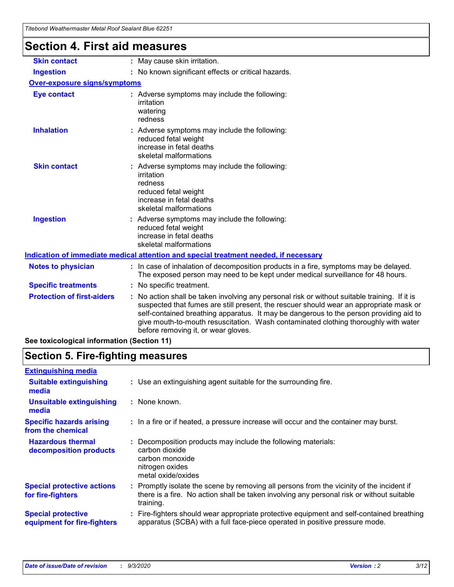| <u>ncoond weanicmasic weta roof ocalant Diac ozz</u> |                                                                                                                                                                                                                                                                                                                                                                                                                 |  |  |
|------------------------------------------------------|-----------------------------------------------------------------------------------------------------------------------------------------------------------------------------------------------------------------------------------------------------------------------------------------------------------------------------------------------------------------------------------------------------------------|--|--|
| <b>Section 4. First aid measures</b>                 |                                                                                                                                                                                                                                                                                                                                                                                                                 |  |  |
| <b>Skin contact</b>                                  | : May cause skin irritation.                                                                                                                                                                                                                                                                                                                                                                                    |  |  |
| <b>Ingestion</b>                                     | : No known significant effects or critical hazards.                                                                                                                                                                                                                                                                                                                                                             |  |  |
| <b>Over-exposure signs/symptoms</b>                  |                                                                                                                                                                                                                                                                                                                                                                                                                 |  |  |
| <b>Eye contact</b>                                   | : Adverse symptoms may include the following:<br>irritation<br>watering<br>redness                                                                                                                                                                                                                                                                                                                              |  |  |
| <b>Inhalation</b>                                    | : Adverse symptoms may include the following:<br>reduced fetal weight<br>increase in fetal deaths<br>skeletal malformations                                                                                                                                                                                                                                                                                     |  |  |
| <b>Skin contact</b>                                  | : Adverse symptoms may include the following:<br>irritation<br>redness<br>reduced fetal weight<br>increase in fetal deaths<br>skeletal malformations                                                                                                                                                                                                                                                            |  |  |
| <b>Ingestion</b>                                     | : Adverse symptoms may include the following:<br>reduced fetal weight<br>increase in fetal deaths<br>skeletal malformations                                                                                                                                                                                                                                                                                     |  |  |
|                                                      | Indication of immediate medical attention and special treatment needed, if necessary                                                                                                                                                                                                                                                                                                                            |  |  |
| <b>Notes to physician</b>                            | : In case of inhalation of decomposition products in a fire, symptoms may be delayed.<br>The exposed person may need to be kept under medical surveillance for 48 hours.                                                                                                                                                                                                                                        |  |  |
| <b>Specific treatments</b>                           | : No specific treatment.                                                                                                                                                                                                                                                                                                                                                                                        |  |  |
| <b>Protection of first-aiders</b>                    | : No action shall be taken involving any personal risk or without suitable training. If it is<br>suspected that fumes are still present, the rescuer should wear an appropriate mask or<br>self-contained breathing apparatus. It may be dangerous to the person providing aid to<br>give mouth-to-mouth resuscitation. Wash contaminated clothing thoroughly with water<br>before removing it, or wear gloves. |  |  |
| See toxicological information (Section 11)           |                                                                                                                                                                                                                                                                                                                                                                                                                 |  |  |

# **Section 5. Fire-fighting measures**

| <b>Extinguishing media</b><br>: Use an extinguishing agent suitable for the surrounding fire.<br><b>Suitable extinguishing</b><br>media<br><b>Unsuitable extinguishing</b><br>: None known.<br>media<br><b>Specific hazards arising</b><br>: In a fire or if heated, a pressure increase will occur and the container may burst.<br>from the chemical<br><b>Hazardous thermal</b><br>Decomposition products may include the following materials:<br>carbon dioxide<br>decomposition products<br>carbon monoxide<br>nitrogen oxides<br>metal oxide/oxides<br><b>Special protective actions</b><br>for fire-fighters<br>training.<br><b>Special protective</b> |                             |                                                                                                                                                                                      |
|--------------------------------------------------------------------------------------------------------------------------------------------------------------------------------------------------------------------------------------------------------------------------------------------------------------------------------------------------------------------------------------------------------------------------------------------------------------------------------------------------------------------------------------------------------------------------------------------------------------------------------------------------------------|-----------------------------|--------------------------------------------------------------------------------------------------------------------------------------------------------------------------------------|
|                                                                                                                                                                                                                                                                                                                                                                                                                                                                                                                                                                                                                                                              |                             |                                                                                                                                                                                      |
|                                                                                                                                                                                                                                                                                                                                                                                                                                                                                                                                                                                                                                                              |                             |                                                                                                                                                                                      |
|                                                                                                                                                                                                                                                                                                                                                                                                                                                                                                                                                                                                                                                              |                             |                                                                                                                                                                                      |
|                                                                                                                                                                                                                                                                                                                                                                                                                                                                                                                                                                                                                                                              |                             |                                                                                                                                                                                      |
|                                                                                                                                                                                                                                                                                                                                                                                                                                                                                                                                                                                                                                                              |                             |                                                                                                                                                                                      |
|                                                                                                                                                                                                                                                                                                                                                                                                                                                                                                                                                                                                                                                              |                             | Promptly isolate the scene by removing all persons from the vicinity of the incident if<br>there is a fire. No action shall be taken involving any personal risk or without suitable |
|                                                                                                                                                                                                                                                                                                                                                                                                                                                                                                                                                                                                                                                              | equipment for fire-fighters | : Fire-fighters should wear appropriate protective equipment and self-contained breathing<br>apparatus (SCBA) with a full face-piece operated in positive pressure mode.             |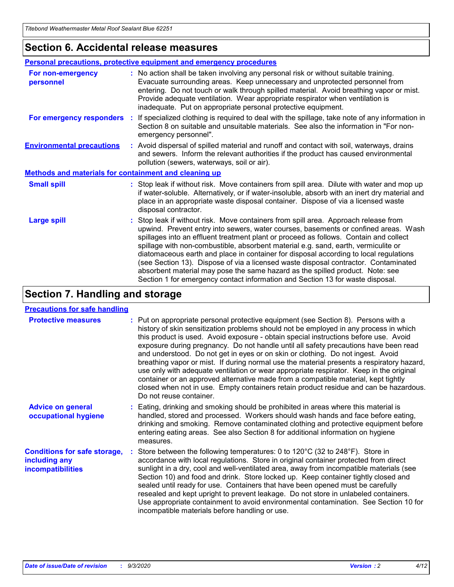### **Section 6. Accidental release measures**

|                                                              | <b>Personal precautions, protective equipment and emergency procedures</b>                                                                                                                                                                                                                                                                                                                                                                                                                                                                                                                                                                                                                                   |  |  |
|--------------------------------------------------------------|--------------------------------------------------------------------------------------------------------------------------------------------------------------------------------------------------------------------------------------------------------------------------------------------------------------------------------------------------------------------------------------------------------------------------------------------------------------------------------------------------------------------------------------------------------------------------------------------------------------------------------------------------------------------------------------------------------------|--|--|
| For non-emergency<br>personnel                               | : No action shall be taken involving any personal risk or without suitable training.<br>Evacuate surrounding areas. Keep unnecessary and unprotected personnel from<br>entering. Do not touch or walk through spilled material. Avoid breathing vapor or mist.<br>Provide adequate ventilation. Wear appropriate respirator when ventilation is<br>inadequate. Put on appropriate personal protective equipment.                                                                                                                                                                                                                                                                                             |  |  |
| For emergency responders                                     | : If specialized clothing is required to deal with the spillage, take note of any information in<br>Section 8 on suitable and unsuitable materials. See also the information in "For non-<br>emergency personnel".                                                                                                                                                                                                                                                                                                                                                                                                                                                                                           |  |  |
| <b>Environmental precautions</b>                             | : Avoid dispersal of spilled material and runoff and contact with soil, waterways, drains<br>and sewers. Inform the relevant authorities if the product has caused environmental<br>pollution (sewers, waterways, soil or air).                                                                                                                                                                                                                                                                                                                                                                                                                                                                              |  |  |
| <b>Methods and materials for containment and cleaning up</b> |                                                                                                                                                                                                                                                                                                                                                                                                                                                                                                                                                                                                                                                                                                              |  |  |
| <b>Small spill</b>                                           | : Stop leak if without risk. Move containers from spill area. Dilute with water and mop up<br>if water-soluble. Alternatively, or if water-insoluble, absorb with an inert dry material and<br>place in an appropriate waste disposal container. Dispose of via a licensed waste<br>disposal contractor.                                                                                                                                                                                                                                                                                                                                                                                                     |  |  |
| <b>Large spill</b>                                           | : Stop leak if without risk. Move containers from spill area. Approach release from<br>upwind. Prevent entry into sewers, water courses, basements or confined areas. Wash<br>spillages into an effluent treatment plant or proceed as follows. Contain and collect<br>spillage with non-combustible, absorbent material e.g. sand, earth, vermiculite or<br>diatomaceous earth and place in container for disposal according to local regulations<br>(see Section 13). Dispose of via a licensed waste disposal contractor. Contaminated<br>absorbent material may pose the same hazard as the spilled product. Note: see<br>Section 1 for emergency contact information and Section 13 for waste disposal. |  |  |

### **Section 7. Handling and storage**

#### **Precautions for safe handling**

| <b>Protective measures</b>                                                       | : Put on appropriate personal protective equipment (see Section 8). Persons with a<br>history of skin sensitization problems should not be employed in any process in which<br>this product is used. Avoid exposure - obtain special instructions before use. Avoid<br>exposure during pregnancy. Do not handle until all safety precautions have been read<br>and understood. Do not get in eyes or on skin or clothing. Do not ingest. Avoid<br>breathing vapor or mist. If during normal use the material presents a respiratory hazard,<br>use only with adequate ventilation or wear appropriate respirator. Keep in the original<br>container or an approved alternative made from a compatible material, kept tightly<br>closed when not in use. Empty containers retain product residue and can be hazardous.<br>Do not reuse container. |
|----------------------------------------------------------------------------------|--------------------------------------------------------------------------------------------------------------------------------------------------------------------------------------------------------------------------------------------------------------------------------------------------------------------------------------------------------------------------------------------------------------------------------------------------------------------------------------------------------------------------------------------------------------------------------------------------------------------------------------------------------------------------------------------------------------------------------------------------------------------------------------------------------------------------------------------------|
| <b>Advice on general</b><br>occupational hygiene                                 | : Eating, drinking and smoking should be prohibited in areas where this material is<br>handled, stored and processed. Workers should wash hands and face before eating,<br>drinking and smoking. Remove contaminated clothing and protective equipment before<br>entering eating areas. See also Section 8 for additional information on hygiene<br>measures.                                                                                                                                                                                                                                                                                                                                                                                                                                                                                    |
| <b>Conditions for safe storage,</b><br>including any<br><b>incompatibilities</b> | Store between the following temperatures: 0 to 120°C (32 to 248°F). Store in<br>accordance with local regulations. Store in original container protected from direct<br>sunlight in a dry, cool and well-ventilated area, away from incompatible materials (see<br>Section 10) and food and drink. Store locked up. Keep container tightly closed and<br>sealed until ready for use. Containers that have been opened must be carefully<br>resealed and kept upright to prevent leakage. Do not store in unlabeled containers.<br>Use appropriate containment to avoid environmental contamination. See Section 10 for<br>incompatible materials before handling or use.                                                                                                                                                                         |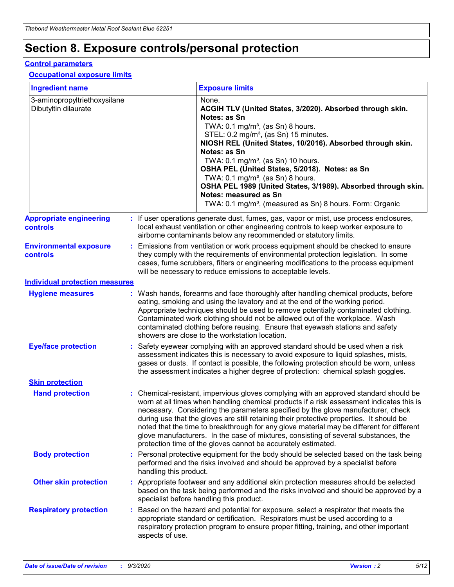# **Section 8. Exposure controls/personal protection**

#### **Control parameters**

#### **Occupational exposure limits**

| <b>Ingredient name</b>                               |    |                                                                                                                                                                                                                                                                                                                                                     | <b>Exposure limits</b>                                                                                                                                                                                                                                                                                                                                                                                                                                                                                                                                                                                                 |  |  |
|------------------------------------------------------|----|-----------------------------------------------------------------------------------------------------------------------------------------------------------------------------------------------------------------------------------------------------------------------------------------------------------------------------------------------------|------------------------------------------------------------------------------------------------------------------------------------------------------------------------------------------------------------------------------------------------------------------------------------------------------------------------------------------------------------------------------------------------------------------------------------------------------------------------------------------------------------------------------------------------------------------------------------------------------------------------|--|--|
| 3-aminopropyltriethoxysilane<br>Dibutyltin dilaurate |    |                                                                                                                                                                                                                                                                                                                                                     | None.<br>ACGIH TLV (United States, 3/2020). Absorbed through skin.<br>Notes: as Sn<br>TWA: $0.1 \text{ mg/m}^3$ , (as Sn) 8 hours.<br>STEL: 0.2 mg/m <sup>3</sup> , (as Sn) 15 minutes.<br>NIOSH REL (United States, 10/2016). Absorbed through skin.<br>Notes: as Sn<br>TWA: 0.1 mg/m <sup>3</sup> , (as Sn) 10 hours.<br>OSHA PEL (United States, 5/2018). Notes: as Sn<br>TWA: 0.1 mg/m <sup>3</sup> , (as Sn) 8 hours.<br>OSHA PEL 1989 (United States, 3/1989). Absorbed through skin.<br>Notes: measured as Sn<br>TWA: 0.1 mg/m <sup>3</sup> , (measured as Sn) 8 hours. Form: Organic                           |  |  |
| <b>Appropriate engineering</b><br>controls           |    |                                                                                                                                                                                                                                                                                                                                                     | : If user operations generate dust, fumes, gas, vapor or mist, use process enclosures,<br>local exhaust ventilation or other engineering controls to keep worker exposure to<br>airborne contaminants below any recommended or statutory limits.                                                                                                                                                                                                                                                                                                                                                                       |  |  |
| <b>Environmental exposure</b><br>controls            |    | Emissions from ventilation or work process equipment should be checked to ensure<br>they comply with the requirements of environmental protection legislation. In some<br>cases, fume scrubbers, filters or engineering modifications to the process equipment<br>will be necessary to reduce emissions to acceptable levels.                       |                                                                                                                                                                                                                                                                                                                                                                                                                                                                                                                                                                                                                        |  |  |
| <b>Individual protection measures</b>                |    |                                                                                                                                                                                                                                                                                                                                                     |                                                                                                                                                                                                                                                                                                                                                                                                                                                                                                                                                                                                                        |  |  |
| <b>Hygiene measures</b>                              |    |                                                                                                                                                                                                                                                                                                                                                     | : Wash hands, forearms and face thoroughly after handling chemical products, before<br>eating, smoking and using the lavatory and at the end of the working period.<br>Appropriate techniques should be used to remove potentially contaminated clothing.<br>Contaminated work clothing should not be allowed out of the workplace. Wash<br>contaminated clothing before reusing. Ensure that eyewash stations and safety<br>showers are close to the workstation location.                                                                                                                                            |  |  |
| <b>Eye/face protection</b>                           |    | Safety eyewear complying with an approved standard should be used when a risk<br>assessment indicates this is necessary to avoid exposure to liquid splashes, mists,<br>gases or dusts. If contact is possible, the following protection should be worn, unless<br>the assessment indicates a higher degree of protection: chemical splash goggles. |                                                                                                                                                                                                                                                                                                                                                                                                                                                                                                                                                                                                                        |  |  |
| <b>Skin protection</b>                               |    |                                                                                                                                                                                                                                                                                                                                                     |                                                                                                                                                                                                                                                                                                                                                                                                                                                                                                                                                                                                                        |  |  |
| <b>Hand protection</b>                               |    |                                                                                                                                                                                                                                                                                                                                                     | : Chemical-resistant, impervious gloves complying with an approved standard should be<br>worn at all times when handling chemical products if a risk assessment indicates this is<br>necessary. Considering the parameters specified by the glove manufacturer, check<br>during use that the gloves are still retaining their protective properties. It should be<br>noted that the time to breakthrough for any glove material may be different for different<br>glove manufacturers. In the case of mixtures, consisting of several substances, the<br>protection time of the gloves cannot be accurately estimated. |  |  |
| <b>Body protection</b>                               |    | handling this product.                                                                                                                                                                                                                                                                                                                              | Personal protective equipment for the body should be selected based on the task being<br>performed and the risks involved and should be approved by a specialist before                                                                                                                                                                                                                                                                                                                                                                                                                                                |  |  |
| <b>Other skin protection</b>                         |    |                                                                                                                                                                                                                                                                                                                                                     | : Appropriate footwear and any additional skin protection measures should be selected<br>based on the task being performed and the risks involved and should be approved by a<br>specialist before handling this product.                                                                                                                                                                                                                                                                                                                                                                                              |  |  |
| <b>Respiratory protection</b>                        | ÷. | aspects of use.                                                                                                                                                                                                                                                                                                                                     | Based on the hazard and potential for exposure, select a respirator that meets the<br>appropriate standard or certification. Respirators must be used according to a<br>respiratory protection program to ensure proper fitting, training, and other important                                                                                                                                                                                                                                                                                                                                                         |  |  |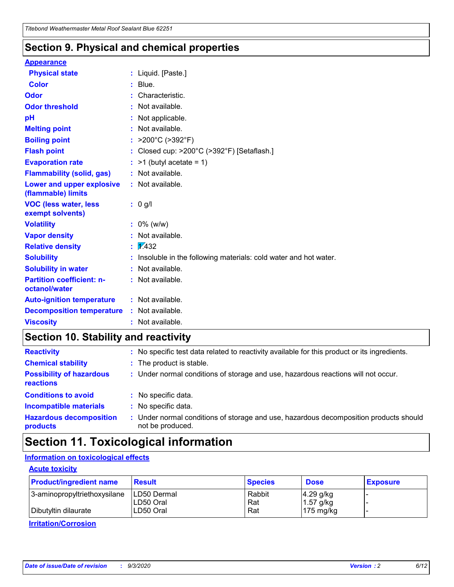### **Section 9. Physical and chemical properties**

#### **Appearance**

| <b>Physical state</b>                             |   | : Liquid. [Paste.]                                              |
|---------------------------------------------------|---|-----------------------------------------------------------------|
| <b>Color</b>                                      |   | Blue.                                                           |
| Odor                                              |   | Characteristic.                                                 |
| <b>Odor threshold</b>                             | ÷ | Not available.                                                  |
| рH                                                |   | Not applicable.                                                 |
| <b>Melting point</b>                              |   | : Not available.                                                |
| <b>Boiling point</b>                              |   | >200°C (>392°F)                                                 |
| <b>Flash point</b>                                |   | Closed cup: >200°C (>392°F) [Setaflash.]                        |
| <b>Evaporation rate</b>                           |   | $:$ >1 (butyl acetate = 1)                                      |
| <b>Flammability (solid, gas)</b>                  |   | : Not available.                                                |
| Lower and upper explosive<br>(flammable) limits   |   | : Not available.                                                |
| <b>VOC (less water, less)</b><br>exempt solvents) |   | : 0 g/l                                                         |
| <b>Volatility</b>                                 |   | $: 0\%$ (w/w)                                                   |
| <b>Vapor density</b>                              |   | Not available.                                                  |
| <b>Relative density</b>                           |   | $\mathbf{1}$ $\mathbf{\sqrt{432}}$                              |
| <b>Solubility</b>                                 |   | Insoluble in the following materials: cold water and hot water. |
| <b>Solubility in water</b>                        |   | Not available.                                                  |
| <b>Partition coefficient: n-</b><br>octanol/water |   | $:$ Not available.                                              |
| <b>Auto-ignition temperature</b>                  |   | : Not available.                                                |
| <b>Decomposition temperature</b>                  |   | : Not available.                                                |
| <b>Viscosity</b>                                  |   | $:$ Not available.                                              |

### **Section 10. Stability and reactivity**

| <b>Reactivity</b>                            | : No specific test data related to reactivity available for this product or its ingredients.            |
|----------------------------------------------|---------------------------------------------------------------------------------------------------------|
| <b>Chemical stability</b>                    | : The product is stable.                                                                                |
| <b>Possibility of hazardous</b><br>reactions | : Under normal conditions of storage and use, hazardous reactions will not occur.                       |
| <b>Conditions to avoid</b>                   | : No specific data.                                                                                     |
| <b>Incompatible materials</b>                | : No specific data.                                                                                     |
| <b>Hazardous decomposition</b><br>products   | Under normal conditions of storage and use, hazardous decomposition products should<br>not be produced. |

## **Section 11. Toxicological information**

#### **Information on toxicological effects**

#### **Acute toxicity**

| <b>Product/ingredient name</b> | <b>Result</b>           | <b>Species</b> | <b>Dose</b>                | <b>Exposure</b> |
|--------------------------------|-------------------------|----------------|----------------------------|-----------------|
| 3-aminopropyltriethoxysilane   | <b>ILD50 Dermal</b>     | Rabbit         | 4.29 g/kg                  |                 |
| Dibutyltin dilaurate           | ILD50 Oral<br>LD50 Oral | Rat<br>Rat     | $1.57$ g/kg<br>175 $mg/kg$ |                 |
|                                |                         |                |                            |                 |

**Irritation/Corrosion**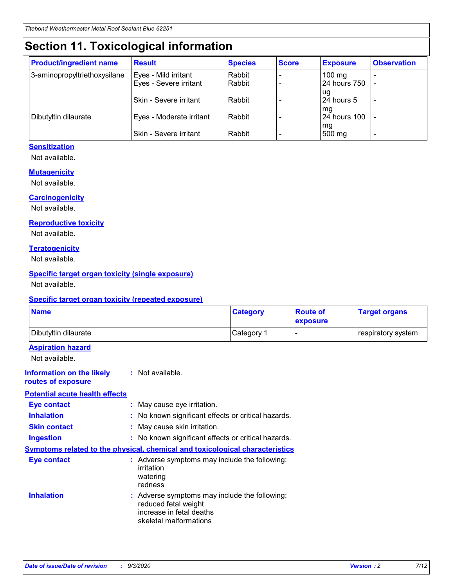# **Section 11. Toxicological information**

| <b>Product/ingredient name</b> | <b>Result</b>                 | <b>Species</b> | <b>Score</b> | <b>Exposure</b>           | <b>Observation</b> |
|--------------------------------|-------------------------------|----------------|--------------|---------------------------|--------------------|
| 3-aminopropyltriethoxysilane   | Eyes - Mild irritant          | Rabbit         |              | $100 \text{ mg}$          |                    |
|                                | Eyes - Severe irritant        | Rabbit         |              | 24 hours 750              |                    |
|                                |                               |                |              | ug                        |                    |
|                                | <b>Skin - Severe irritant</b> | Rabbit         |              | 24 hours 5                | -                  |
| Dibutyltin dilaurate           | Eyes - Moderate irritant      | Rabbit         |              | mq<br><b>24 hours 100</b> |                    |
|                                |                               |                |              | mg                        |                    |
|                                | Skin - Severe irritant        | Rabbit         |              | 500 mg                    |                    |

#### **Sensitization**

Not available.

#### **Mutagenicity**

Not available.

#### **Carcinogenicity**

Not available.

#### **Reproductive toxicity**

Not available.

#### **Teratogenicity**

Not available.

#### **Specific target organ toxicity (single exposure)**

Not available.

#### **Specific target organ toxicity (repeated exposure)**

| <b>Name</b>                                                                         |                                                                            | <b>Category</b>                                     | <b>Route of</b><br>exposure | <b>Target organs</b> |  |
|-------------------------------------------------------------------------------------|----------------------------------------------------------------------------|-----------------------------------------------------|-----------------------------|----------------------|--|
| Dibutyltin dilaurate                                                                |                                                                            | Category 1                                          |                             | respiratory system   |  |
| <b>Aspiration hazard</b><br>Not available.                                          |                                                                            |                                                     |                             |                      |  |
| <b>Information on the likely</b><br>routes of exposure                              | : Not available.                                                           |                                                     |                             |                      |  |
| <b>Potential acute health effects</b>                                               |                                                                            |                                                     |                             |                      |  |
| <b>Eye contact</b>                                                                  | : May cause eye irritation.                                                |                                                     |                             |                      |  |
| <b>Inhalation</b>                                                                   |                                                                            | : No known significant effects or critical hazards. |                             |                      |  |
| <b>Skin contact</b>                                                                 |                                                                            | : May cause skin irritation.                        |                             |                      |  |
| <b>Ingestion</b>                                                                    |                                                                            | : No known significant effects or critical hazards. |                             |                      |  |
| <b>Symptoms related to the physical, chemical and toxicological characteristics</b> |                                                                            |                                                     |                             |                      |  |
| <b>Eye contact</b>                                                                  | irritation<br>watering<br>redness                                          | : Adverse symptoms may include the following:       |                             |                      |  |
| <b>Inhalation</b>                                                                   | reduced fetal weight<br>increase in fetal deaths<br>skeletal malformations | : Adverse symptoms may include the following:       |                             |                      |  |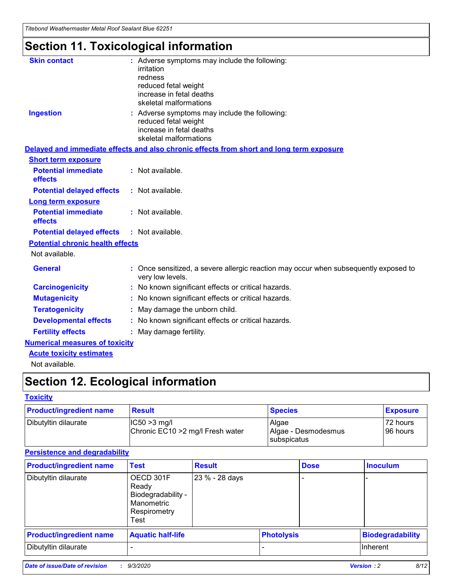*Titebond Weathermaster Metal Roof Sealant Blue 62251*

# **Section 11. Toxicological information**

| <b>Skin contact</b>                     | : Adverse symptoms may include the following:                                                            |
|-----------------------------------------|----------------------------------------------------------------------------------------------------------|
|                                         | irritation                                                                                               |
|                                         | redness<br>reduced fetal weight                                                                          |
|                                         | increase in fetal deaths                                                                                 |
|                                         | skeletal malformations                                                                                   |
| <b>Ingestion</b>                        | : Adverse symptoms may include the following:                                                            |
|                                         | reduced fetal weight                                                                                     |
|                                         | increase in fetal deaths<br>skeletal malformations                                                       |
|                                         | Delayed and immediate effects and also chronic effects from short and long term exposure                 |
| <b>Short term exposure</b>              |                                                                                                          |
| <b>Potential immediate</b>              | : Not available.                                                                                         |
| effects                                 |                                                                                                          |
| <b>Potential delayed effects</b>        | : Not available.                                                                                         |
| <b>Long term exposure</b>               |                                                                                                          |
| <b>Potential immediate</b><br>effects   | : Not available.                                                                                         |
| <b>Potential delayed effects</b>        | : Not available.                                                                                         |
| <b>Potential chronic health effects</b> |                                                                                                          |
| Not available.                          |                                                                                                          |
| <b>General</b>                          | : Once sensitized, a severe allergic reaction may occur when subsequently exposed to<br>very low levels. |
| <b>Carcinogenicity</b>                  | : No known significant effects or critical hazards.                                                      |
| <b>Mutagenicity</b>                     | No known significant effects or critical hazards.                                                        |
| <b>Teratogenicity</b>                   | May damage the unborn child.                                                                             |
| <b>Developmental effects</b>            | : No known significant effects or critical hazards.                                                      |
| <b>Fertility effects</b>                | May damage fertility.                                                                                    |
| <b>Numerical measures of toxicity</b>   |                                                                                                          |
| <b>Acute toxicity estimates</b>         |                                                                                                          |
| Not available.                          |                                                                                                          |

# **Section 12. Ecological information**

#### **Toxicity**

| <b>Product/ingredient name</b> | <b>Result</b>                                       | <b>Species</b>               | <b>Exposure</b>      |
|--------------------------------|-----------------------------------------------------|------------------------------|----------------------|
| Dibutyltin dilaurate           | $ IC50>3$ mg/l<br>Chronic EC10 > 2 mg/l Fresh water | Algae<br>Algae - Desmodesmus | 72 hours<br>96 hours |
|                                |                                                     | subspicatus                  |                      |

#### **Persistence and degradability**

| <b>Product/ingredient name</b> | <b>Test</b>                                                                    | <b>Result</b>  |                   | <b>Dose</b> | <b>Inoculum</b>         |
|--------------------------------|--------------------------------------------------------------------------------|----------------|-------------------|-------------|-------------------------|
| Dibutyltin dilaurate           | OECD 301F<br>Ready<br>Biodegradability -<br>Manometric<br>Respirometry<br>Test | 23 % - 28 days |                   |             |                         |
| <b>Product/ingredient name</b> | <b>Aquatic half-life</b>                                                       |                | <b>Photolysis</b> |             | <b>Biodegradability</b> |
| Dibutyltin dilaurate           |                                                                                |                |                   |             | <b>Inherent</b>         |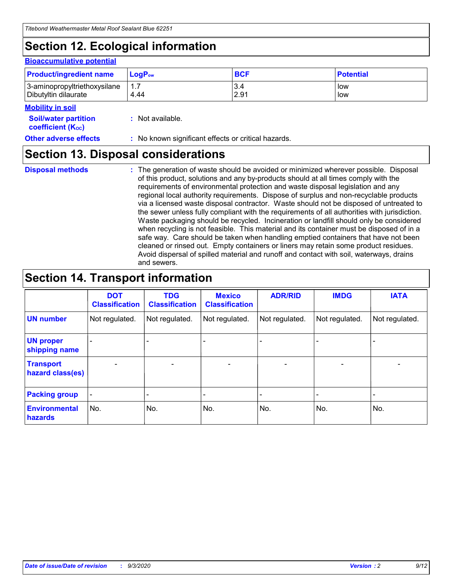# **Section 12. Ecological information**

#### **Bioaccumulative potential**

| <b>Product/ingredient name</b> | $LoaPow$ | <b>BCF</b> | <b>Potential</b> |
|--------------------------------|----------|------------|------------------|
| 3-aminopropyltriethoxysilane   | 1.7      | 3.4        | low              |
| Dibutyltin dilaurate           | 4.44     | 2.91       | low              |

#### **Mobility in soil**

| IVIVNIIILY III JVII                                           |                                                     |
|---------------------------------------------------------------|-----------------------------------------------------|
| <b>Soil/water partition</b><br>coefficient (K <sub>oc</sub> ) | : Not available.                                    |
| <b>Other adverse effects</b>                                  | : No known significant effects or critical hazards. |

### **Section 13. Disposal considerations**

**Disposal methods :**

The generation of waste should be avoided or minimized wherever possible. Disposal of this product, solutions and any by-products should at all times comply with the requirements of environmental protection and waste disposal legislation and any regional local authority requirements. Dispose of surplus and non-recyclable products via a licensed waste disposal contractor. Waste should not be disposed of untreated to the sewer unless fully compliant with the requirements of all authorities with jurisdiction. Waste packaging should be recycled. Incineration or landfill should only be considered when recycling is not feasible. This material and its container must be disposed of in a safe way. Care should be taken when handling emptied containers that have not been cleaned or rinsed out. Empty containers or liners may retain some product residues. Avoid dispersal of spilled material and runoff and contact with soil, waterways, drains and sewers.

### **Section 14. Transport information**

|                                      | <b>DOT</b><br><b>Classification</b> | <b>TDG</b><br><b>Classification</b> | <b>Mexico</b><br><b>Classification</b> | <b>ADR/RID</b>           | <b>IMDG</b>              | <b>IATA</b>    |
|--------------------------------------|-------------------------------------|-------------------------------------|----------------------------------------|--------------------------|--------------------------|----------------|
| <b>UN number</b>                     | Not regulated.                      | Not regulated.                      | Not regulated.                         | Not regulated.           | Not regulated.           | Not regulated. |
| <b>UN proper</b><br>shipping name    |                                     |                                     |                                        |                          |                          |                |
| <b>Transport</b><br>hazard class(es) |                                     | $\overline{\phantom{0}}$            | $\qquad \qquad \blacksquare$           | $\overline{\phantom{0}}$ | $\overline{\phantom{0}}$ |                |
| <b>Packing group</b>                 |                                     |                                     |                                        |                          |                          |                |
| <b>Environmental</b><br>hazards      | No.                                 | No.                                 | No.                                    | No.                      | No.                      | No.            |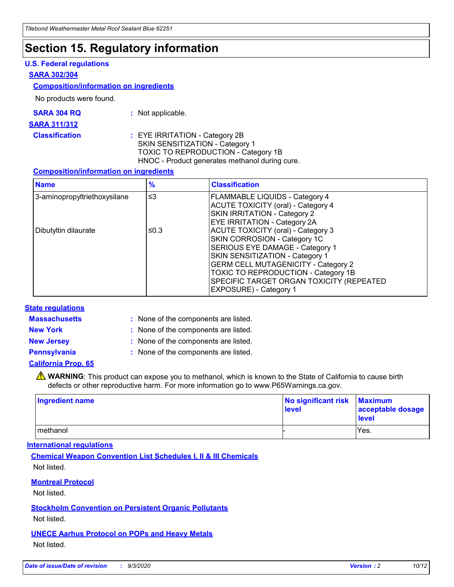### **Section 15. Regulatory information**

#### **U.S. Federal regulations**

#### **SARA 302/304**

#### **Composition/information on ingredients**

No products were found.

| SARA 304 RQ | Not applicable. |
|-------------|-----------------|
|-------------|-----------------|

#### **SARA 311/312**

**Classification :** EYE IRRITATION - Category 2B SKIN SENSITIZATION - Category 1 TOXIC TO REPRODUCTION - Category 1B HNOC - Product generates methanol during cure.

#### **Composition/information on ingredients**

| <b>Name</b>                  | $\frac{9}{6}$ | <b>Classification</b>                                                                                                                                                                                                                                                                                      |
|------------------------------|---------------|------------------------------------------------------------------------------------------------------------------------------------------------------------------------------------------------------------------------------------------------------------------------------------------------------------|
| 3-aminopropyltriethoxysilane | $\leq$ 3      | <b>FLAMMABLE LIQUIDS - Category 4</b><br><b>ACUTE TOXICITY (oral) - Category 4</b><br><b>SKIN IRRITATION - Category 2</b><br>EYE IRRITATION - Category 2A                                                                                                                                                  |
| Dibutyltin dilaurate         | ≤0.3          | <b>ACUTE TOXICITY (oral) - Category 3</b><br>SKIN CORROSION - Category 1C<br>SERIOUS EYE DAMAGE - Category 1<br>SKIN SENSITIZATION - Category 1<br><b>GERM CELL MUTAGENICITY - Category 2</b><br>TOXIC TO REPRODUCTION - Category 1B<br>SPECIFIC TARGET ORGAN TOXICITY (REPEATED<br>EXPOSURE) - Category 1 |

#### **State regulations**

**Massachusetts :**

: None of the components are listed.

**New York :** None of the components are listed. **New Jersey :** None of the components are listed.

**Pennsylvania :** None of the components are listed.

#### **California Prop. 65**

WARNING: This product can expose you to methanol, which is known to the State of California to cause birth defects or other reproductive harm. For more information go to www.P65Warnings.ca.gov.

| Ingredient name | No significant risk<br>level | <b>Maximum</b><br>acceptable dosage<br><b>level</b> |
|-----------------|------------------------------|-----------------------------------------------------|
| l methanol      |                              | Yes.                                                |

#### **International regulations**

**Chemical Weapon Convention List Schedules I, II & III Chemicals** Not listed.

#### **Montreal Protocol**

Not listed.

**Stockholm Convention on Persistent Organic Pollutants**

Not listed.

#### **UNECE Aarhus Protocol on POPs and Heavy Metals** Not listed.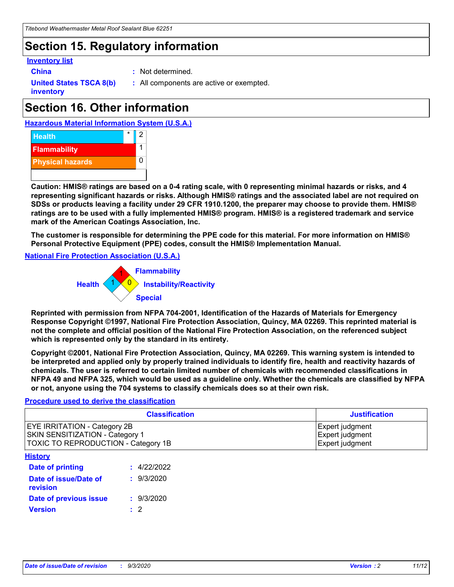### **Section 15. Regulatory information**

#### **Inventory list**

- 
- **China :** Not determined.

**United States TSCA 8(b) inventory**

**:** All components are active or exempted.

# **Section 16. Other information**





**Caution: HMIS® ratings are based on a 0-4 rating scale, with 0 representing minimal hazards or risks, and 4 representing significant hazards or risks. Although HMIS® ratings and the associated label are not required on SDSs or products leaving a facility under 29 CFR 1910.1200, the preparer may choose to provide them. HMIS® ratings are to be used with a fully implemented HMIS® program. HMIS® is a registered trademark and service mark of the American Coatings Association, Inc.**

**The customer is responsible for determining the PPE code for this material. For more information on HMIS® Personal Protective Equipment (PPE) codes, consult the HMIS® Implementation Manual.**

**National Fire Protection Association (U.S.A.)**



**Reprinted with permission from NFPA 704-2001, Identification of the Hazards of Materials for Emergency Response Copyright ©1997, National Fire Protection Association, Quincy, MA 02269. This reprinted material is not the complete and official position of the National Fire Protection Association, on the referenced subject which is represented only by the standard in its entirety.**

**Copyright ©2001, National Fire Protection Association, Quincy, MA 02269. This warning system is intended to be interpreted and applied only by properly trained individuals to identify fire, health and reactivity hazards of chemicals. The user is referred to certain limited number of chemicals with recommended classifications in NFPA 49 and NFPA 325, which would be used as a guideline only. Whether the chemicals are classified by NFPA or not, anyone using the 704 systems to classify chemicals does so at their own risk.**

#### **Procedure used to derive the classification**

| <b>Classification</b>                                                                                                | <b>Justification</b>                                  |
|----------------------------------------------------------------------------------------------------------------------|-------------------------------------------------------|
| <b>EYE IRRITATION - Category 2B</b><br><b>SKIN SENSITIZATION - Category 1</b><br>TOXIC TO REPRODUCTION - Category 1B | Expert judgment<br>Expert judgment<br>Expert judgment |
| <b>History</b>                                                                                                       |                                                       |

| .                                 |             |
|-----------------------------------|-------------|
| <b>Date of printing</b>           | : 4/22/2022 |
| Date of issue/Date of<br>revision | : 9/3/2020  |
| Date of previous issue            | : 9/3/2020  |
| <b>Version</b>                    | $\cdot$ 2   |
|                                   |             |